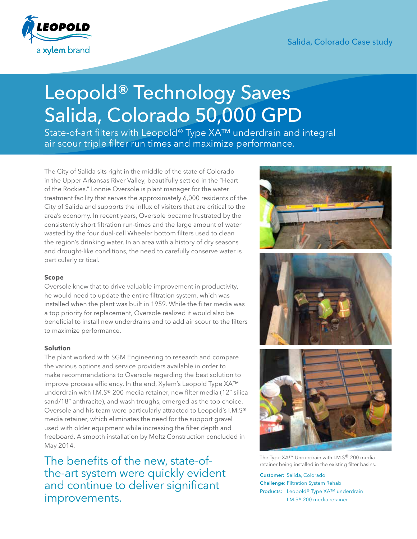

# Salida, Colorado Case study

# Leopold® Technology Saves Salida, Colorado 50,000 GPD

State-of-art filters with Leopold® Type XA<sup>™</sup> underdrain and integral air scour triple filter run times and maximize performance.

The City of Salida sits right in the middle of the state of Colorado in the Upper Arkansas River Valley, beautifully settled in the "Heart of the Rockies." Lonnie Oversole is plant manager for the water treatment facility that serves the approximately 6,000 residents of the City of Salida and supports the influx of visitors that are critical to the area's economy. In recent years, Oversole became frustrated by the consistently short filtration run-times and the large amount of water wasted by the four dual-cell Wheeler bottom filters used to clean the region's drinking water. In an area with a history of dry seasons and drought-like conditions, the need to carefully conserve water is particularly critical.

### **Scope**

Oversole knew that to drive valuable improvement in productivity, he would need to update the entire filtration system, which was installed when the plant was built in 1959. While the filter media was a top priority for replacement, Oversole realized it would also be beneficial to install new underdrains and to add air scour to the filters to maximize performance.

# **Solution**

The plant worked with SGM Engineering to research and compare the various options and service providers available in order to make recommendations to Oversole regarding the best solution to improve process efficiency. In the end, Xylem's Leopold Type XA™ underdrain with I.M.S® 200 media retainer, new filter media (12" silica sand/18" anthracite), and wash troughs, emerged as the top choice. Oversole and his team were particularly attracted to Leopold's I.M.S® media retainer, which eliminates the need for the support gravel used with older equipment while increasing the filter depth and freeboard. A smooth installation by Moltz Construction concluded in May 2014.

The benefits of the new, state-ofthe-art system were quickly evident and continue to deliver significant improvements.







The Type XA™ Underdrain with I.M.S® 200 media retainer being installed in the existing filter basins.

Customer: Salida, Colorado Challenge: Filtration System Rehab Products: Leopold® Type XA™ underdrain I.M.S® 200 media retainer